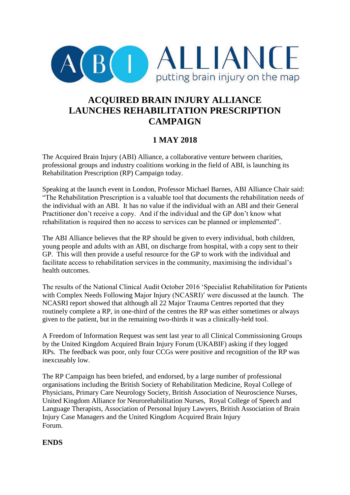

# **ACQUIRED BRAIN INJURY ALLIANCE LAUNCHES REHABILITATION PRESCRIPTION CAMPAIGN**

### **1 MAY 2018**

The Acquired Brain Injury (ABI) Alliance, a collaborative venture between charities, professional groups and industry coalitions working in the field of ABI, is launching its Rehabilitation Prescription (RP) Campaign today.

Speaking at the launch event in London, Professor Michael Barnes, ABI Alliance Chair said: "The Rehabilitation Prescription is a valuable tool that documents the rehabilitation needs of the individual with an ABI. It has no value if the individual with an ABI and their General Practitioner don't receive a copy. And if the individual and the GP don't know what rehabilitation is required then no access to services can be planned or implemented".

The ABI Alliance believes that the RP should be given to every individual, both children, young people and adults with an ABI, on discharge from hospital, with a copy sent to their GP. This will then provide a useful resource for the GP to work with the individual and facilitate access to rehabilitation services in the community, maximising the individual's health outcomes.

The results of the National Clinical Audit October 2016 'Specialist Rehabilitation for Patients with Complex Needs Following Major Injury (NCASRI)' were discussed at the launch. The NCASRI report showed that although all 22 Major Trauma Centres reported that they routinely complete a RP, in one-third of the centres the RP was either sometimes or always given to the patient, but in the remaining two-thirds it was a clinically-held tool.

A Freedom of Information Request was sent last year to all Clinical Commissioning Groups by the United Kingdom Acquired Brain Injury Forum (UKABIF) asking if they logged RPs. The feedback was poor, only four CCGs were positive and recognition of the RP was inexcusably low.

The RP Campaign has been briefed, and endorsed, by a large number of professional organisations including the British Society of Rehabilitation Medicine, Royal College of Physicians, Primary Care Neurology Society, British Association of Neuroscience Nurses, United Kingdom Alliance for Neurorehabilitation Nurses, Royal College of Speech and Language Therapists, Association of Personal Injury Lawyers, British Association of Brain Injury Case Managers and the United Kingdom Acquired Brain Injury Forum.

### **ENDS**